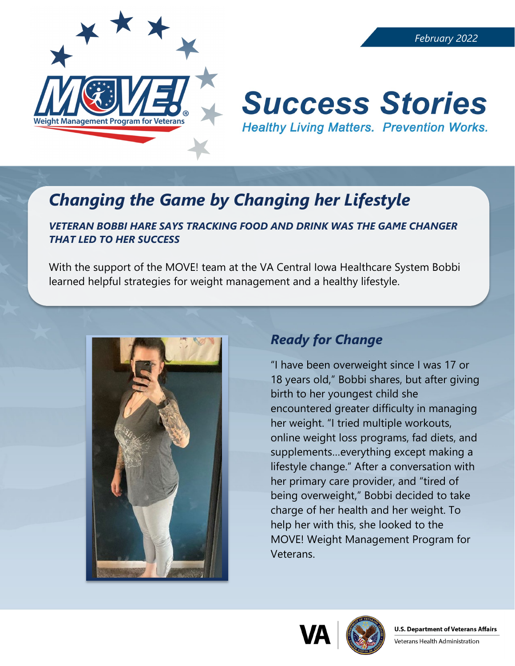

# **Success Stories Healthy Living Matters. Prevention Works.**

## *Changing the Game by Changing her Lifestyle*

#### *VETERAN BOBBI HARE SAYS TRACKING FOOD AND DRINK WAS THE GAME CHANGER THAT LED TO HER SUCCESS*

With the support of the MOVE! team at the VA Central Iowa Healthcare System Bobbi learned helpful strategies for weight management and a healthy lifestyle.



### *Ready for Change*

"I have been overweight since I was 17 or 18 years old," Bobbi shares, but after giving birth to her youngest child she encountered greater difficulty in managing her weight. "I tried multiple workouts, online weight loss programs, fad diets, and supplements…everything except making a lifestyle change." After a conversation with her primary care provider, and "tired of being overweight," Bobbi decided to take charge of her health and her weight. To help her with this, she looked to the MOVE! Weight Management Program for Veterans.



Veterans Health Administration